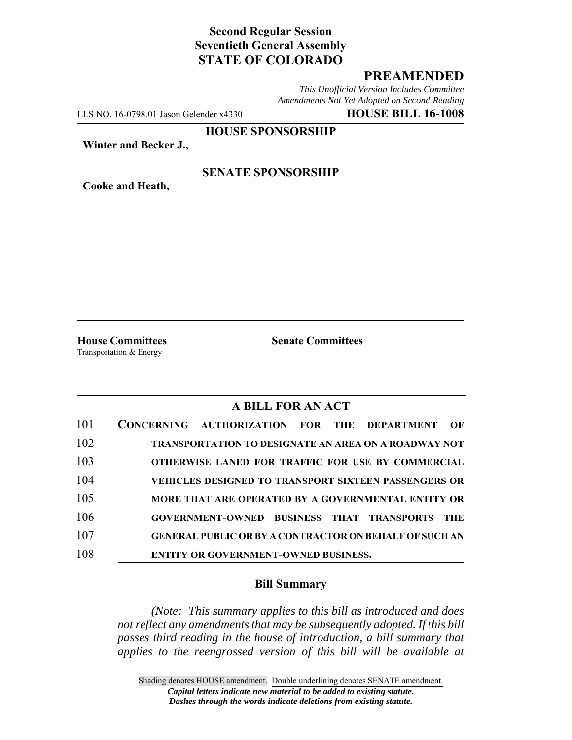# **Second Regular Session Seventieth General Assembly STATE OF COLORADO**

## **PREAMENDED**

*This Unofficial Version Includes Committee Amendments Not Yet Adopted on Second Reading*

LLS NO. 16-0798.01 Jason Gelender x4330 **HOUSE BILL 16-1008**

**HOUSE SPONSORSHIP**

**Winter and Becker J.,**

**Cooke and Heath,**

### **SENATE SPONSORSHIP**

**House Committees Senate Committees** Transportation & Energy

### **A BILL FOR AN ACT**

| 101 | CONCERNING AUTHORIZATION FOR THE DEPARTMENT<br>OF             |
|-----|---------------------------------------------------------------|
| 102 | <b>TRANSPORTATION TO DESIGNATE AN AREA ON A ROADWAY NOT</b>   |
| 103 | <b>OTHERWISE LANED FOR TRAFFIC FOR USE BY COMMERCIAL</b>      |
| 104 | <b>VEHICLES DESIGNED TO TRANSPORT SIXTEEN PASSENGERS OR</b>   |
| 105 | MORE THAT ARE OPERATED BY A GOVERNMENTAL ENTITY OR            |
| 106 | GOVERNMENT-OWNED BUSINESS THAT TRANSPORTS<br>THE              |
| 107 | <b>GENERAL PUBLIC OR BY A CONTRACTOR ON BEHALF OF SUCH AN</b> |
| 108 | <b>ENTITY OR GOVERNMENT-OWNED BUSINESS.</b>                   |

#### **Bill Summary**

*(Note: This summary applies to this bill as introduced and does not reflect any amendments that may be subsequently adopted. If this bill passes third reading in the house of introduction, a bill summary that applies to the reengrossed version of this bill will be available at*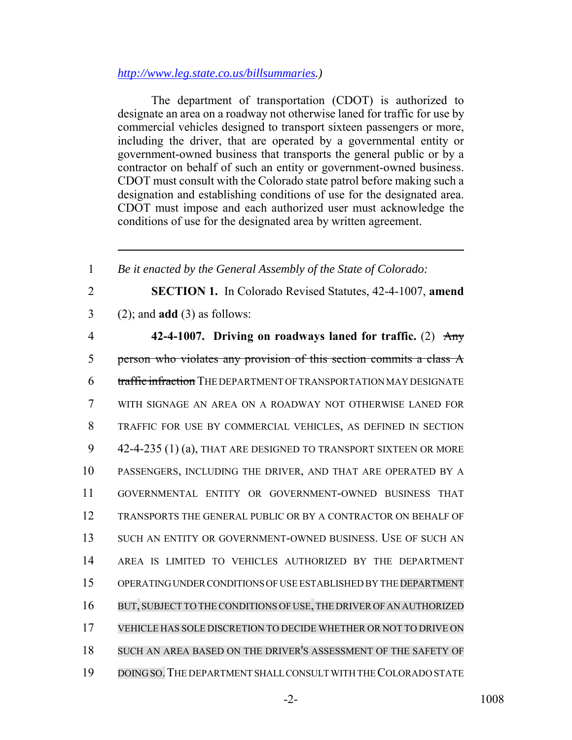### *http://www.leg.state.co.us/billsummaries.)*

The department of transportation (CDOT) is authorized to designate an area on a roadway not otherwise laned for traffic for use by commercial vehicles designed to transport sixteen passengers or more, including the driver, that are operated by a governmental entity or government-owned business that transports the general public or by a contractor on behalf of such an entity or government-owned business. CDOT must consult with the Colorado state patrol before making such a designation and establishing conditions of use for the designated area. CDOT must impose and each authorized user must acknowledge the conditions of use for the designated area by written agreement.

 *Be it enacted by the General Assembly of the State of Colorado:* **SECTION 1.** In Colorado Revised Statutes, 42-4-1007, **amend** (2); and **add** (3) as follows: **42-4-1007. Driving on roadways laned for traffic.** (2) Any person who violates any provision of this section commits a class A 6 t<del>raffic infraction</del> THE DEPARTMENT OF TRANSPORTATION MAY DESIGNATE WITH SIGNAGE AN AREA ON A ROADWAY NOT OTHERWISE LANED FOR TRAFFIC FOR USE BY COMMERCIAL VEHICLES, AS DEFINED IN SECTION 42-4-235 (1) (a), THAT ARE DESIGNED TO TRANSPORT SIXTEEN OR MORE PASSENGERS, INCLUDING THE DRIVER, AND THAT ARE OPERATED BY A GOVERNMENTAL ENTITY OR GOVERNMENT-OWNED BUSINESS THAT TRANSPORTS THE GENERAL PUBLIC OR BY A CONTRACTOR ON BEHALF OF SUCH AN ENTITY OR GOVERNMENT-OWNED BUSINESS. USE OF SUCH AN AREA IS LIMITED TO VEHICLES AUTHORIZED BY THE DEPARTMENT OPERATING UNDER CONDITIONS OF USE ESTABLISHED BY THE DEPARTMENT 16 BUT, SUBJECT TO THE CONDITIONS OF USE, THE DRIVER OF AN AUTHORIZED VEHICLE HAS SOLE DISCRETION TO DECIDE WHETHER OR NOT TO DRIVE ON SUCH AN AREA BASED ON THE DRIVER'S ASSESSMENT OF THE SAFETY OF DOING SO.THE DEPARTMENT SHALL CONSULT WITH THE COLORADO STATE